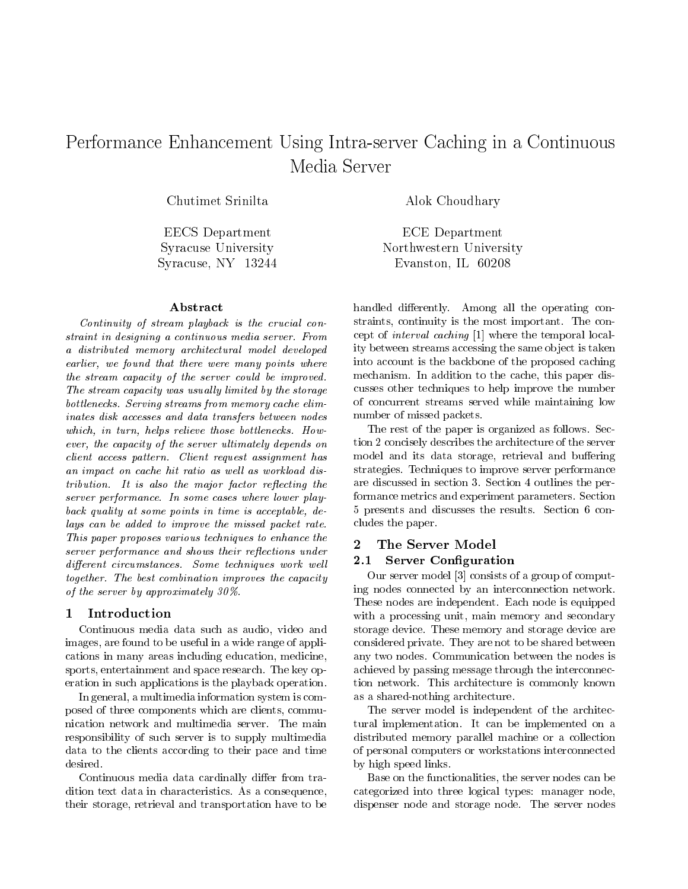# Performance Enhancement Using Intra-server Caching in <sup>a</sup> Continuous

Chutimet Srinilta Alok Choudhary

#### ${\bf Abstract}$

Continuity ofstream playback is the crucial constraint in designing a continuous media server. From a distributed memory architectural model developed earlier, we found that there were many points where we the stream capacity ofthe server could be improved. The stream capacity was usually limited by the storage bottlenecks. Serving streams from memory cache eliminates disk accesses and data transfers between nodes which, in turn, helps relieve this reliefations are the ever, the capacity of the server ultimately depends onclient access pattern. Client request assignment in the state of the contract of the contract of the contract an impact on cache hit ratio as wel l as workload distribution. It is also the major factor represented the major server performance. In some cases where lower playback quality at some points in time is acceptable, delays can be added to improve the missed packet rate. This paper proposes various techniques to enhance theserver performance and shows their re
ections under dierent circumstances. Some techniques work wel l together. The best combination improves the capacity of the server by approximately 30%.

#### $\mathbf{1}$ Introduction

Continuous media data such as audio, video and images, are found to be useful in a wide range of applications in many areas including education, medicine, sports, entertainment and space research. The key operation in such applications is the playback operation.

In general, a multimedia information system is composed of three components which are clients, communication network and multimedia server. The main responsibility of such server is to supply multimedia data to the clients according to their pace and time

Continuous media data cardinally differ from tradition text data in characteristics. As a consequence, their storage, retrieval and transportation have to be

EECS Department ECE Department Syracuse University Northwestern University Syracuse, NY 13244 Evanston, IL 60208

> cusses on techniques techniques to help improvements the number of the number of  $\sim$ handled differently. Among all the operating constraints, continuity is the most important. The concept of interval caching [1] where the temporal locality between streams accessing the same object is taken into account is the backbone of the proposed caching mechanism. In addition to the cache, this paper disof concurrent streams served while maintaining low number of missed packets.

> tion 2 concisely describes the architecture of the architecture of the server of the server of the server of the server of the server of the server of the server of the server of the server of the server of the server of The rest of the paper is organized as follows. Secmodel and its data storage, retrieval and buffering strategies. Techniques to improve server performance are discussed in section 3. Section 4 outlines the performance metrics and experiment parameters. Section 5 presents and discusses the results. Section 6 concludes the paper.

#### $\overline{2}$ The Server Model

#### Server Configuration

Our server model [3] consists of a group of computing nodes connected by an interconnection network. These nodes are independent. Each node is equipped with a processing unit, main memory and secondary storage device. These memory and storage device are considered private. They are not to be shared between any two nodes. Communication between the nodes is achieved by passing message through the interconnection network. This architecture is commonly known as a shared-nothing architecture.

The server model is independent of the architectural implementation. It can be implemented on a distributed memory parallel machine or a collection of personal computers or workstations interconnected by high speed links.

Base on the functionalities, the server nodes can be categorized into three logical types: manager node, dispenser node and storage node. The server nodes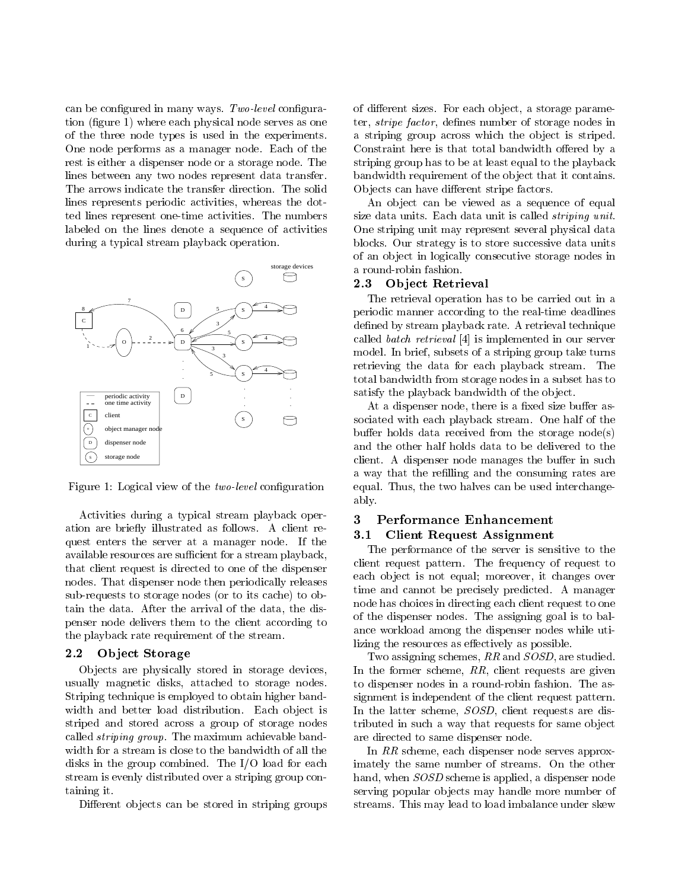can be configured in many ways. Two-level configuration (figure 1) where each physical node serves as one of the three node types is used in the experiments. One node performs as a manager node. Each of the rest is either a dispenser node or a storage node. The lines between any two nodes represent data transfer. The arrows indicate the transfer direction. The solid lines represents periodic activities, whereas the dotted lines represent one-time activities. The numbers labeled on the lines denote a sequence of activities during a typical stream playback operation.



Figure 1: Logical view of the *two-level* configuration

Activities during a typical stream playback operation are briefly illustrated as follows. A client request enters the server at a manager node. If the available resources are sufficient for a stream playback, that client request is directed to one of the dispenser nodes. That dispenser node then periodically releases sub-requests to storage nodes (or to its cache) to obtain the data. After the arrival of the data, the dispenser node delivers them to the client according to the playback rate requirement of the stream.

## 2.2 Object Storage

Ob jects are physically stored in storage devices, usually magnetic disks, attached to storage nodes. Striping technique is employed to obtain higher bandwidth and better load distribution. Each object is striped and stored across a group of storage nodes called striping group. The maximum achievable bandwidth for a stream is close to the bandwidth of all the disks in the group combined. The I/O load for each stream is evenly distributed over a striping group containing it.

Different objects can be stored in striping groups

of different sizes. For each object, a storage parameter, *stripe factor*, defines number of storage nodes in a striping group across which the object is striped. Constraint here is that total bandwidth offered by a striping group has to be at least equal to the playback bandwidth requirement of the ob ject that it contains. Objects can have different stripe factors.

An object can be viewed as a sequence of equal size data units. Each data unit is called striping unit. One striping unit may represent several physical data blocks. Our strategy is to store successive data units of an ob ject in logically consecutive storage nodes in a round-robin fashion.

## 2.3 Ob ject Retrieval

The retrieval operation has to be carried out in a periodic manner according to the real-time deadlines defined by stream playback rate. A retrieval technique called batch retrieval [4] is implemented in our server model. In brief, subsets of a striping group take turns retrieving the data for each playback stream. The total bandwidth from storage nodes in a subset has to satisfy the playback bandwidth of the object.

At a dispenser node, there is a fixed size buffer associated with each playback stream. One half of the buffer holds data received from the storage  $node(s)$ and the other half holds data to be delivered to the client. A dispenser node manages the buffer in such a way that the refilling and the consuming rates are equal. Thus, the two halves can be used interchangeably.

#### <sup>3</sup> Performance Enhancement  $3.1$ Client Request Assignment

The performance of the server is sensitive to the client request pattern. The frequency of request to each ob ject is not equal; moreover, it changes over time and cannot be precisely predicted. A manager node has choices in directing each client request to one of the dispenser nodes. The assigning goal is to balance workload among the dispenser nodes while utilizing the resources as effectively as possible.

Two assigning schemes, RR and SOSD, are studied. In the former scheme, RR, client requests are given to dispenser nodes in a round-robin fashion. The assignment is independent of the client request pattern. In the latter scheme, *SOSD*, client requests are distributed in such a way that requests for same object are directed to same dispenser node.

In RR scheme, each dispenser node serves approximately the same number of streams. On the other hand, when SOSD scheme is applied, a dispenser node serving popular objects may handle more number of streams. This may lead to load imbalance under skew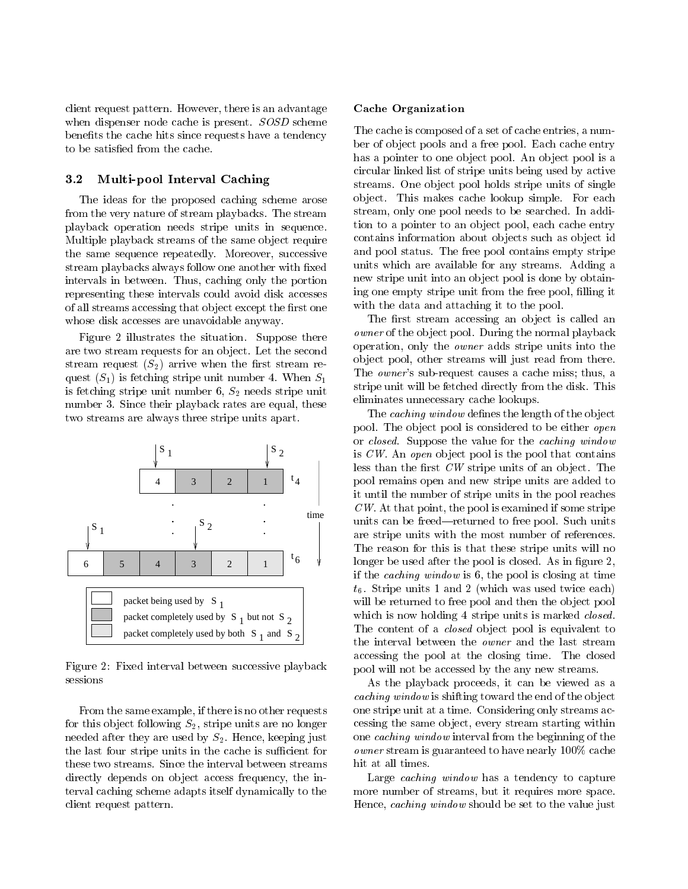client request pattern. However, there is an advantage when dispenser node cache is present. SOSD scheme benefits the cache hits since requests have a tendency to be satised from the cache.

## 3.2 Multi-pool Interval Caching

The ideas for the proposed caching scheme arose from the very nature of stream playbacks. The stream playback operation needs stripe units in sequence. Multiple playback streams of the same ob ject require the same sequence repeatedly. Moreover, successive stream playbacks always follow one another with fixed intervals in between. Thus, caching only the portion representing these intervals could avoid disk accesses of all streams accessing that object except the first one whose disk accesses are unavoidable anyway.

Figure 2 illustrates the situation. Suppose there are two stream requests for an object. Let the second stream request  $(S_2)$  arrive when the first stream request  $(S_1)$  is fetching stripe unit number 4. When  $S_1$ is fetching stripe unit number 6,  $S_2$  needs stripe unit number 3. Since their playback rates are equal, these two streams are always three stripe units apart.



Figure 2: Fixed interval between successive playback sessions

From the same example, if there is no other requests for this object following  $S_2$ , stripe units are no longer needed after they are used by  $S_2$ . Hence, keeping just the last four stripe units in the cache is sufficient for these two streams. Since the interval between streams directly depends on object access frequency, the interval caching scheme adapts itself dynamically to the client request pattern.

## Cache Organization

The cache is composed of a set of cache entries, a number of ob ject pools and a free pool. Each cache entry has a pointer to one object pool. An object pool is a circular linked list of stripe units being used by active streams. One ob ject pool holds stripe units of single ob ject. This makes cache lookup simple. For each stream, only one pool needs to be searched. In addition to a pointer to an object pool, each cache entry contains information about objects such as object id and pool status. The free pool contains empty stripe units which are available for any streams. Adding a new stripe unit into an object pool is done by obtaining one empty stripe unit from the free pool, filling it with the data and attaching it to the pool.

The first stream accessing an object is called an owner of the ob ject pool. During the normal playback operation, only the owner adds stripe units into the ob ject pool, other streams will just read from there. The owner's sub-request causes a cache miss; thus, a stripe unit will be fetched directly from the disk. This eliminates unnecessary cache lookups.

The *caching window* defines the length of the object pool. The object pool is considered to be either open or closed. Suppose the value for the caching window is  $CW$ . An open object pool is the pool that contains less than the first  $CW$  stripe units of an object. The pool remains open and new stripe units are added to it until the number of stripe units in the pool reaches  $CW$ . At that point, the pool is examined if some stripe units can be freed-returned to free pool. Such units are stripe units with the most number of references. The reason for this is that these stripe units will no longer be used after the pool is closed. As in figure  $2$ , if the caching window is 6, the pool is closing at time  $t_6$ . Stripe units 1 and 2 (which was used twice each) will be returned to free pool and then the object pool which is now holding 4 stripe units is marked *closed*. The content of a *closed* object pool is equivalent to the interval between the owner and the last stream accessing the pool at the closing time. The closed pool will not be accessed by the any new streams.

As the playback proceeds, it can be viewed as a caching window is shifting toward the end of the ob ject one stripe unit at a time. Considering only streams accessing the same ob ject, every stream starting within one caching window interval from the beginning of the owner stream is guaranteed to matter research in the form in the component of  $\sim$ hit at all times.

Large *caching window* has a tendency to capture more number of streams, but it requires more space. Hence, caching window should be set to the value just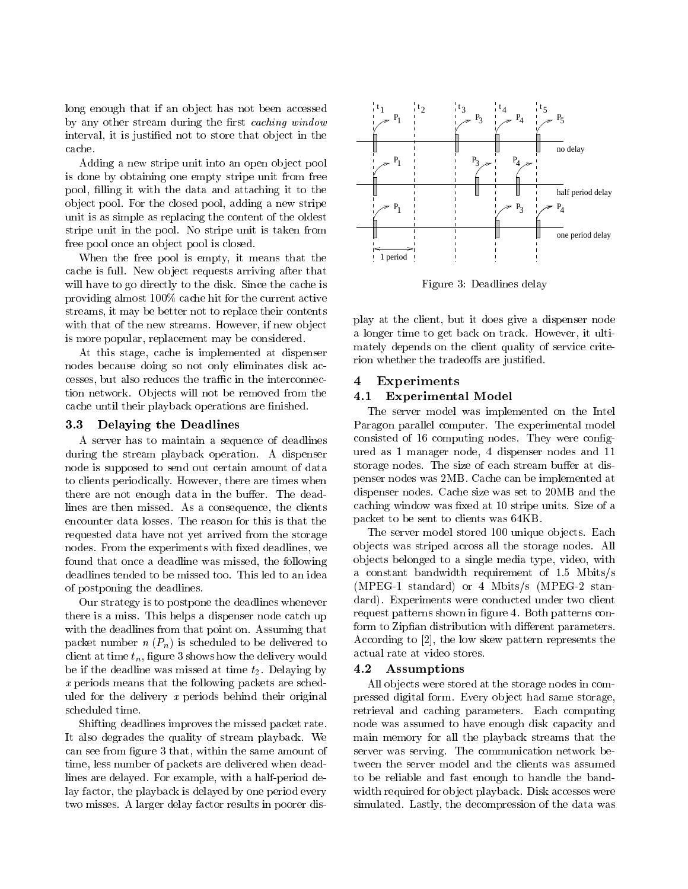long enough that if an object has not been accessed by any other stream during the first *caching window* interval, it is justified not to store that object in the cache.

Adding a new stripe unit into an open object pool is done by obtaining one empty stripe unit from free pool, filling it with the data and attaching it to the ob ject pool. For the closed pool, adding a new stripe unit is as simple as replacing the content of the oldest stripe unit in the pool. No stripe unit is taken from free pool once an ob ject pool is closed.

When the free pool is empty, it means that the cache is full. New ob ject requests arriving after that will have to go directly to the disk. Since the cache is providing almost 100% cache hit for the current active streams, it may be better not to replace their contents with that of the new streams. However, if new object is more popular, replacement may be considered.

At this stage, cache is implemented at dispenser nodes because doing so not only eliminates disk accesses, but also reduces the traffic in the interconnection network. Objects will not be removed from the  $\mathbf{4.1}$ cache until their playback operations are finished.

## 3.3 Delaying the Deadlines

A server has to maintain a sequence of deadlines during the stream playback operation. A dispenser node is supposed to send out certain amount of data to clients periodically. However, there are times when there are not enough data in the buffer. The deadlines are then missed. As a consequence, the clients encounter data losses. The reason for this is that the requested data have not yet arrived from the storage nodes. From the experiments with fixed deadlines, we found that once a deadline was missed, the following deadlines tended to be missed too. This led to an idea of postponing the deadlines.

Our strategy is to postpone the deadlines whenever there is a miss. This helps a dispenser node catch up with the deadlines from that point on. Assuming that packet number  $n(P_n)$  is scheduled to be delivered to client at time  $t_n$ , figure 3 shows how the delivery would be if the deadline was missed at time  $t_2$ . Delaying by x periods means that the following packets are scheduled for the delivery  $x$  periods behind their original scheduled time.

Shifting deadlines improves the missed packet rate. It also degrades the quality of stream playback. We can see from figure 3 that, within the same amount of time, less number of packets are delivered when deadlines are delayed. For example, with a half-period delay factor, the playback is delayed by one period every two misses. A larger delay factor results in poorer dis-



Figure 3: Deadlines delay

play at the client, but it does give a dispenser node a longer time to get back on track. However, it ultimately depends on the client quality of service criterion whether the tradeoffs are justified.

## <sup>4</sup> Experiments

## Experimental Model

The server model was implemented on the Intel Paragon parallel computer. The experimental model consisted of 16 computing nodes. They were congured as 1 manager node, 4 dispenser nodes and 11 storage nodes. The size of each stream buffer at dispenser nodes was 2MB. Cache can be implemented at dispenser nodes. Cache size was set to 20MB and the caching window was fixed at 10 stripe units. Size of a packet to be sent to clients was 64KB.

The server model stored 100 unique objects. Each ob jects was striped across all the storage nodes. All ob jects belonged to a single media type, video, with a constant bandwidth requirement of 1.5 Mbits/s (MPEG-1 standard) or 4 Mbits/s (MPEG-2 standard). Experiments were conducted under two client request patterns shown in figure 4. Both patterns conform to Zipfian distribution with different parameters. According to [2], the low skew pattern represents the actual rate at video stores.

#### 4.2  ${\bf Assumptions}$

All ob jects were stored at the storage nodes in compressed digital form. Every ob ject had same storage, retrieval and caching parameters. Each computing node was assumed to have enough disk capacity and main memory for all the playback streams that the server was serving. The communication network between the server model and the clients was assumed to be reliable and fast enough to handle the bandwidth required for object playback. Disk accesses were simulated. Lastly, the decompression of the data was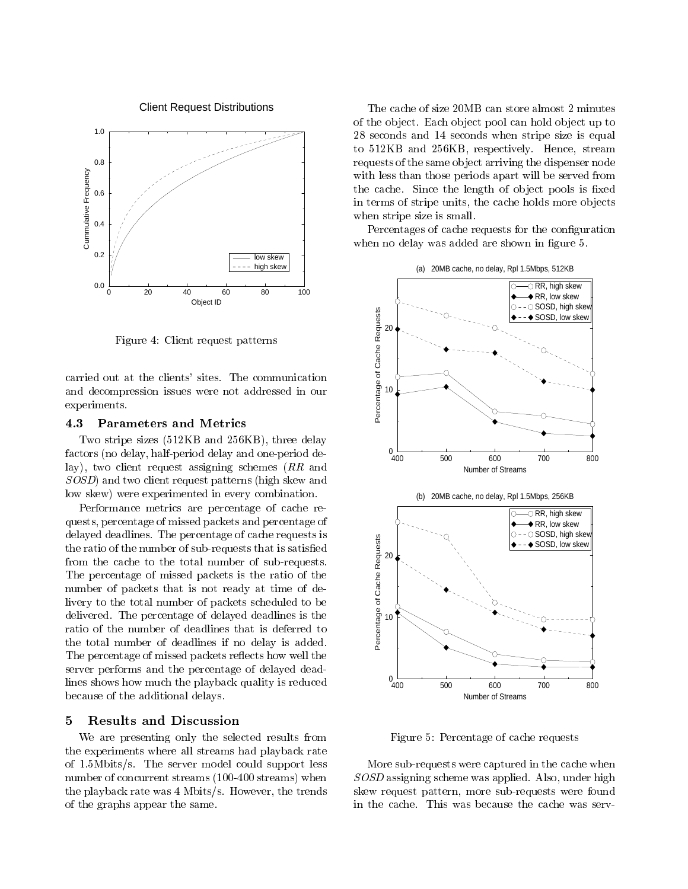Client Request Distributions



Figure 4: Client request patterns

Figure 4: Client request patterns<br>
end out at the clients' sites. The communication<br>
and decompression issues were not addressed in our<br>
experiments. and decompression issues were not addressed in our and decompression issues were not addressed in our experiments.

#### $4.3$ Parameters and Metrics

Two stripe sizes (512KB and 256KB), three delay factors (no delay, half-period delay and one-period delay), two client request assigning schemes (RR and SOSD) and two client request patterns (high skew and low skew) were experimented in every combination.

Performance metrics are percentage of cache requests, percentage of missed packets and percentage of delayed deadlines. The percentage of cache requests is dealthes. The percentage of cache requests is<br>the ratio of the number of sub-requests that is satisfied<br>from the cache to the total number of sub-requests.<br>The percentage of missed packets is the ratio of the<br>number of pac from the cache to the total number of sub-requests. The percentage of missed packets is the ratio of the number of packets that is not ready at time of delivery to the total number of packets scheduled to be delivered. The percentage of delayed deadlines is the ratio of the number of deadlines that is deferred to the total number of deadlines if no delay is added. The percentage of missed packets reflects how well the server performs and the percentage of delayed deadlines shows how much the playback quality is reduced because of the additional delays.

#### $\overline{5}$ **Results and Discussion**

We are presenting only the selected results from the experiments where all streams had playback rate of 1.5Mbits/s. The server model could support less number of concurrent streams (100-400 streams) when the playback rate was 4 Mbits/s. However, the trends of the graphs appear the same.

The cache of size 20MB can store almost 2 minutes of the ob ject. Each ob ject pool can hold ob ject up to 28 seconds and 14 seconds when stripe size is equal to 512KB and 256KB, respectively. Hence, stream requests of the same ob ject arriving the dispenser node with less than those periods apart will be served from the cache. Since the length of object pools is fixed in terms of stripe units, the cache holds more objects when stripe size is small.

Percentages of cache requests for the configuration when no delay was added are shown in figure 5.



(a) 20MB cache, no delay, Rpl 1.5Mbps, 512KB

Figure 5: Percentage of cache requests

More sub-requests were captured in the cache when SOSD assigning scheme was applied. Also, under high skew request pattern, more sub-requests were found in the cache. This was because the cache was serv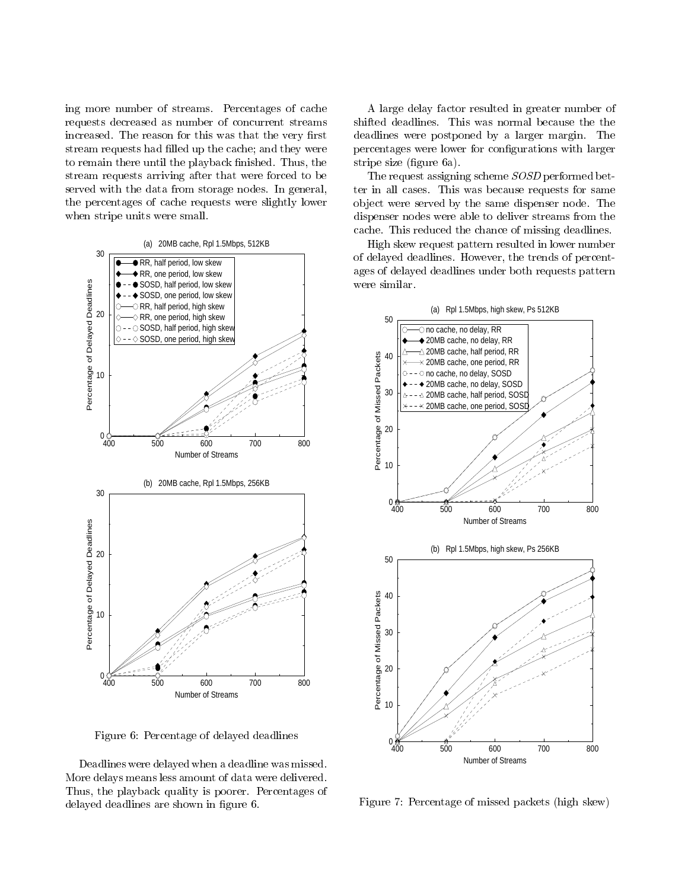ing more number of streams. Percentages of cache requests decreased as number of concurrent streams increased. The reason for this was that the very first stream requests had filled up the cache; and they were to remain there until the playback finished. Thus, the stream requests arriving after that were forced to be served with the data from storage nodes. In general, the percentages of cache requests were slightly lower when stripe units were small.



Figure 6: Percentage of delayed deadlines

Deadlines were delayed when a deadline was missed. More delays means less amount of data were delivered. Thus, the playback quality is poorer. Percentages of delayed deadlines are shown in figure 6.

A large delay factor resulted in greater number of shifted deadlines. This was normal because the the deadlines were postponed by a larger margin. The percentages were lower for congurations with larger stripe size (figure 6a).

The request assigning scheme  $SOSD$  performed better in all cases. This was because requests for same ob ject were served by the same dispenser node. The dispenser nodes were able to deliver streams from the cache. This reduced the chance of missing deadlines.

High skew request pattern resulted in lower number of delayed deadlines. However, the trends of percentages of delayed deadlines under both requests pattern were similar.



Figure 7: Percentage of missed packets (high skew)